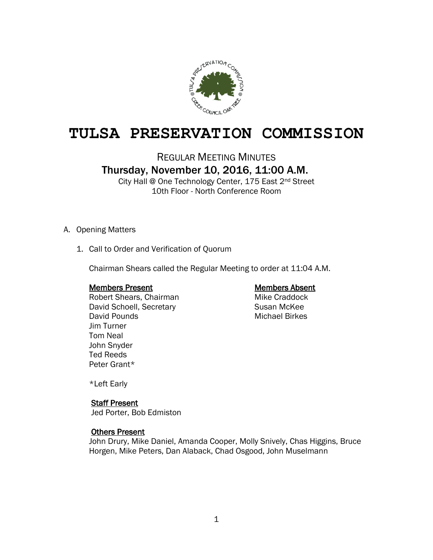

# **TULSA PRESERVATION COMMISSION**

REGULAR MEETING MINUTES

Thursday, November 10, 2016, 11:00 A.M.

City Hall @ One Technology Center, 175 East 2nd Street 10th Floor - North Conference Room

# A. Opening Matters

1. Call to Order and Verification of Quorum

Chairman Shears called the Regular Meeting to order at 11:04 A.M.

# Members Present **Members Absent**

Robert Shears, Chairman Mike Craddock David Schoell, Secretary Susan McKee David Pounds **Michael Birkes** Jim Turner Tom Neal John Snyder Ted Reeds Peter Grant\*

\*Left Early

# Staff Present

Jed Porter, Bob Edmiston

# Others Present

John Drury, Mike Daniel, Amanda Cooper, Molly Snively, Chas Higgins, Bruce Horgen, Mike Peters, Dan Alaback, Chad Osgood, John Muselmann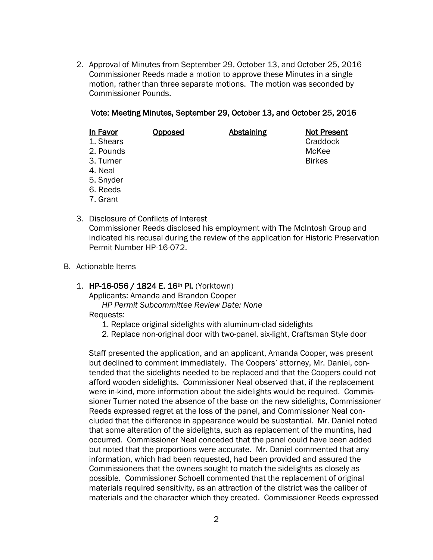2. Approval of Minutes from September 29, October 13, and October 25, 2016 Commissioner Reeds made a motion to approve these Minutes in a single motion, rather than three separate motions. The motion was seconded by Commissioner Pounds.

# Vote: Meeting Minutes, September 29, October 13, and October 25, 2016

| In Favor  | Opposed | Abstaining | <b>Not Present</b> |
|-----------|---------|------------|--------------------|
| 1. Shears |         |            | Craddock           |
| 2. Pounds |         |            | McKee              |
| 3. Turner |         |            | <b>Birkes</b>      |
| 4. Neal   |         |            |                    |
| 5. Snyder |         |            |                    |
| 6. Reeds  |         |            |                    |

- 7. Grant
- 3. Disclosure of Conflicts of Interest Commissioner Reeds disclosed his employment with The McIntosh Group and indicated his recusal during the review of the application for Historic Preservation Permit Number HP-16-072.
- B. Actionable Items

### 1. HP-16-056 / 1824 E. 16<sup>th</sup> Pl. (Yorktown)

Applicants: Amanda and Brandon Cooper

*HP Permit Subcommittee Review Date: None*

Requests:

- 1. Replace original sidelights with aluminum-clad sidelights
- 2. Replace non-original door with two-panel, six-light, Craftsman Style door

Staff presented the application, and an applicant, Amanda Cooper, was present but declined to comment immediately. The Coopers' attorney, Mr. Daniel, contended that the sidelights needed to be replaced and that the Coopers could not afford wooden sidelights. Commissioner Neal observed that, if the replacement were in-kind, more information about the sidelights would be required. Commissioner Turner noted the absence of the base on the new sidelights, Commissioner Reeds expressed regret at the loss of the panel, and Commissioner Neal concluded that the difference in appearance would be substantial. Mr. Daniel noted that some alteration of the sidelights, such as replacement of the muntins, had occurred. Commissioner Neal conceded that the panel could have been added but noted that the proportions were accurate. Mr. Daniel commented that any information, which had been requested, had been provided and assured the Commissioners that the owners sought to match the sidelights as closely as possible. Commissioner Schoell commented that the replacement of original materials required sensitivity, as an attraction of the district was the caliber of materials and the character which they created. Commissioner Reeds expressed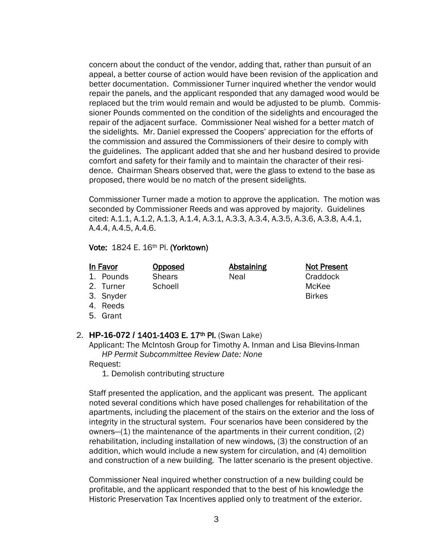concern about the conduct of the vendor, adding that, rather than pursuit of an appeal, a better course of action would have been revision of the application and better documentation. Commissioner Turner inquired whether the vendor would repair the panels, and the applicant responded that any damaged wood would be replaced but the trim would remain and would be adjusted to be plumb. Commissioner Pounds commented on the condition of the sidelights and encouraged the repair of the adjacent surface. Commissioner Neal wished for a better match of the sidelights. Mr. Daniel expressed the Coopers' appreciation for the efforts of the commission and assured the Commissioners of their desire to comply with the guidelines. The applicant added that she and her husband desired to provide comfort and safety for their family and to maintain the character of their residence. Chairman Shears observed that, were the glass to extend to the base as proposed, there would be no match of the present sidelights.

Commissioner Turner made a motion to approve the application. The motion was seconded by Commissioner Reeds and was approved by majority. Guidelines cited: A.1.1, A.1.2, A.1.3, A.1.4, A.3.1, A.3.3, A.3.4, A.3.5, A.3.6, A.3.8, A.4.1, A.4.4, A.4.5, A.4.6.

Vote: 1824 E. 16th Pl. (Yorktown)

1. Pounds Shears Neal Neal Craddock

In Favor Copposed Abstaining Not Present 2. Turner Schoell McKee

- 3. Snyder Birkes
- 4. Reeds
- 5. Grant

# 2. **HP-16-072 /** 1401-1403 E. 17th Pl. (Swan Lake)

Applicant: The McIntosh Group for Timothy A. Inman and Lisa Blevins-Inman *HP Permit Subcommittee Review Date: None*

# Request:

1. Demolish contributing structure

Staff presented the application, and the applicant was present. The applicant noted several conditions which have posed challenges for rehabilitation of the apartments, including the placement of the stairs on the exterior and the loss of integrity in the structural system. Four scenarios have been considered by the owners—(1) the maintenance of the apartments in their current condition, (2) rehabilitation, including installation of new windows, (3) the construction of an addition, which would include a new system for circulation, and (4) demolition and construction of a new building. The latter scenario is the present objective.

Commissioner Neal inquired whether construction of a new building could be profitable, and the applicant responded that to the best of his knowledge the Historic Preservation Tax Incentives applied only to treatment of the exterior.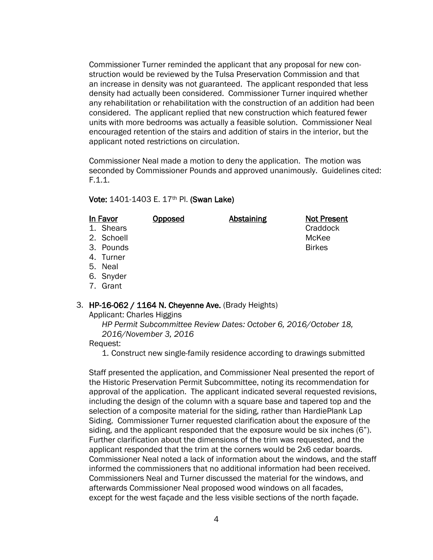Commissioner Turner reminded the applicant that any proposal for new construction would be reviewed by the Tulsa Preservation Commission and that an increase in density was not guaranteed. The applicant responded that less density had actually been considered. Commissioner Turner inquired whether any rehabilitation or rehabilitation with the construction of an addition had been considered. The applicant replied that new construction which featured fewer units with more bedrooms was actually a feasible solution. Commissioner Neal encouraged retention of the stairs and addition of stairs in the interior, but the applicant noted restrictions on circulation.

Commissioner Neal made a motion to deny the application. The motion was seconded by Commissioner Pounds and approved unanimously. Guidelines cited: F.1.1.

### Vote: 1401-1403 E. 17th Pl. (Swan Lake)

| In Favor   | <b>Opposed</b> | <b>Abstaining</b> | <b>Not Present</b> |
|------------|----------------|-------------------|--------------------|
| 1. Shears  |                |                   | Craddock           |
| 2. Schoell |                |                   | McKee              |
| 3. Pounds  |                |                   | <b>Birkes</b>      |
| 4. Turner  |                |                   |                    |
| 5. Neal    |                |                   |                    |
| 6. Snyder  |                |                   |                    |

7. Grant

# 3. HP-16-062 / 1164 N. Cheyenne Ave. (Brady Heights)

Applicant: Charles Higgins

*HP Permit Subcommittee Review Dates: October 6, 2016/October 18, 2016/November 3, 2016*

### Request:

1. Construct new single-family residence according to drawings submitted

Staff presented the application, and Commissioner Neal presented the report of the Historic Preservation Permit Subcommittee, noting its recommendation for approval of the application. The applicant indicated several requested revisions, including the design of the column with a square base and tapered top and the selection of a composite material for the siding, rather than HardiePlank Lap Siding. Commissioner Turner requested clarification about the exposure of the siding, and the applicant responded that the exposure would be six inches (6"). Further clarification about the dimensions of the trim was requested, and the applicant responded that the trim at the corners would be 2x6 cedar boards. Commissioner Neal noted a lack of information about the windows, and the staff informed the commissioners that no additional information had been received. Commissioners Neal and Turner discussed the material for the windows, and afterwards Commissioner Neal proposed wood windows on all facades, except for the west façade and the less visible sections of the north façade.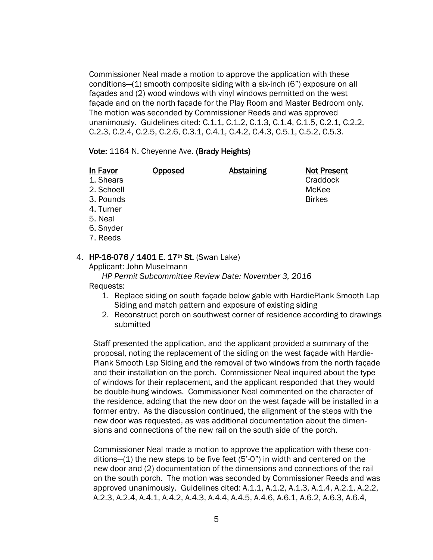Commissioner Neal made a motion to approve the application with these conditions—(1) smooth composite siding with a six-inch (6") exposure on all façades and (2) wood windows with vinyl windows permitted on the west façade and on the north façade for the Play Room and Master Bedroom only. The motion was seconded by Commissioner Reeds and was approved unanimously. Guidelines cited: C.1.1, C.1.2, C.1.3, C.1.4, C.1.5, C.2.1, C.2.2, C.2.3, C.2.4, C.2.5, C.2.6, C.3.1, C.4.1, C.4.2, C.4.3, C.5.1, C.5.2, C.5.3.

### Vote: 1164 N. Cheyenne Ave. (Brady Heights)

| In Favor   | Opposed | Abstaining | <b>Not Present</b> |
|------------|---------|------------|--------------------|
| 1. Shears  |         |            | Craddock           |
| 2. Schoell |         |            | McKee              |
| 3. Pounds  |         |            | <b>Birkes</b>      |
| 4. Turner  |         |            |                    |
| 5. Neal    |         |            |                    |
| 6. Snyder  |         |            |                    |
| 7. Reeds   |         |            |                    |

# 4. HP-16-076 / 1401 E. 17<sup>th</sup> St. (Swan Lake)

Applicant: John Muselmann

 *HP Permit Subcommittee Review Date: November 3, 2016* Requests:

- 1. Replace siding on south façade below gable with HardiePlank Smooth Lap Siding and match pattern and exposure of existing siding
- 2. Reconstruct porch on southwest corner of residence according to drawings submitted

 Staff presented the application, and the applicant provided a summary of the proposal, noting the replacement of the siding on the west façade with Hardie- Plank Smooth Lap Siding and the removal of two windows from the north façade and their installation on the porch. Commissioner Neal inquired about the type of windows for their replacement, and the applicant responded that they would be double-hung windows. Commissioner Neal commented on the character of the residence, adding that the new door on the west façade will be installed in a former entry. As the discussion continued, the alignment of the steps with the new door was requested, as was additional documentation about the dimen sions and connections of the new rail on the south side of the porch.

 Commissioner Neal made a motion to approve the application with these con ditions—(1) the new steps to be five feet (5'-0") in width and centered on the new door and (2) documentation of the dimensions and connections of the rail on the south porch. The motion was seconded by Commissioner Reeds and was approved unanimously. Guidelines cited: A.1.1, A.1.2, A.1.3, A.1.4, A.2.1, A.2.2, A.2.3, A.2.4, A.4.1, A.4.2, A.4.3, A.4.4, A.4.5, A.4.6, A.6.1, A.6.2, A.6.3, A.6.4,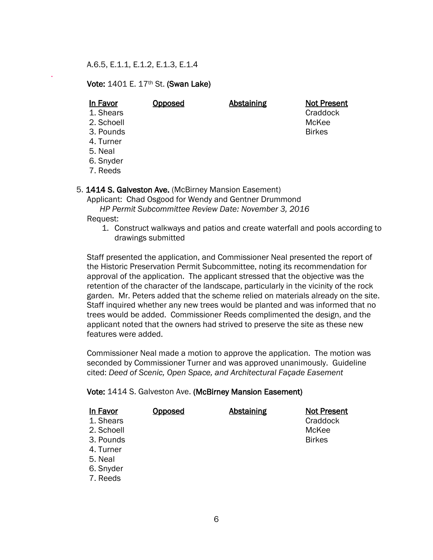A.6.5, E.1.1, E.1.2, E.1.3, E.1.4

Vote: 1401 E. 17th St. (Swan Lake)

.

### In Favor Copposed Abstaining Not Present 1. Shears Craddock

- 2. Schoell McKee
- 3. Pounds Birkes
- 4. Turner
- 5. Neal
- 6. Snyder
- 7. Reeds
- 5. 1414 S. Galveston Ave. (McBirney Mansion Easement)

Applicant: Chad Osgood for Wendy and Gentner Drummond

 *HP Permit Subcommittee Review Date: November 3, 2016* Request:

1. Construct walkways and patios and create waterfall and pools according to drawings submitted

 Staff presented the application, and Commissioner Neal presented the report of the Historic Preservation Permit Subcommittee, noting its recommendation for approval of the application. The applicant stressed that the objective was the retention of the character of the landscape, particularly in the vicinity of the rock garden. Mr. Peters added that the scheme relied on materials already on the site. Staff inquired whether any new trees would be planted and was informed that no trees would be added. Commissioner Reeds complimented the design, and the applicant noted that the owners had strived to preserve the site as these new features were added.

 Commissioner Neal made a motion to approve the application. The motion was seconded by Commissioner Turner and was approved unanimously. Guideline cited: *Deed of Scenic, Open Space, and Architectural Façade Easement*

# Vote: 1414 S. Galveston Ave. (McBirney Mansion Easement)

| In Favor   | <b>Opposed</b> | <b>Abstaining</b> | <b>Not Present</b> |
|------------|----------------|-------------------|--------------------|
| 1. Shears  |                |                   | Craddock           |
| 2. Schoell |                |                   | McKee              |
| 3. Pounds  |                |                   | <b>Birkes</b>      |
| 4. Turner  |                |                   |                    |
| 5. Neal    |                |                   |                    |
| 6. Snyder  |                |                   |                    |
| 7. Reeds   |                |                   |                    |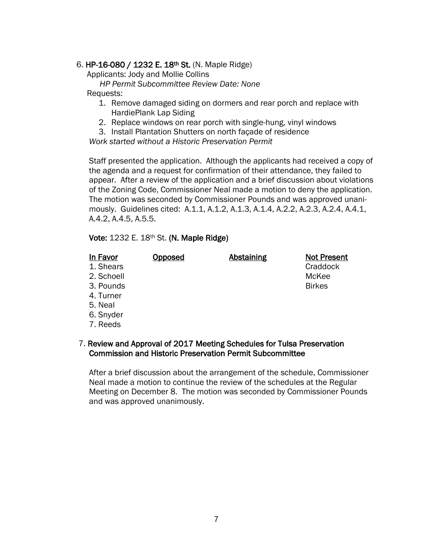# 6. HP-16-080 / 1232 E. 18th St. (N. Maple Ridge)

Applicants: Jody and Mollie Collins

*HP Permit Subcommittee Review Date: None*

# Requests:

- 1. Remove damaged siding on dormers and rear porch and replace with HardiePlank Lap Siding
- 2. Replace windows on rear porch with single-hung, vinyl windows

3. Install Plantation Shutters on north façade of residence

*Work started without a Historic Preservation Permit*

 Staff presented the application. Although the applicants had received a copy of the agenda and a request for confirmation of their attendance, they failed to appear. After a review of the application and a brief discussion about violations of the Zoning Code, Commissioner Neal made a motion to deny the application. The motion was seconded by Commissioner Pounds and was approved unani mously. Guidelines cited: A.1.1, A.1.2, A.1.3, A.1.4, A.2.2, A.2.3, A.2.4, A.4.1, A.4.2, A.4.5, A.5.5.

# Vote: 1232 E. 18th St. (N. Maple Ridge)

# In Favor Copposed Abstaining Not Present 1. Shears **Craddock Craddock Craddock Craddock** 2. Schoell McKee 3. Pounds Birkes 4. Turner 5. Neal 6. Snyder

7. Reeds

# 7. Review and Approval of 2017 Meeting Schedules for Tulsa Preservation Commission and Historic Preservation Permit Subcommittee

 After a brief discussion about the arrangement of the schedule, Commissioner Neal made a motion to continue the review of the schedules at the Regular Meeting on December 8. The motion was seconded by Commissioner Pounds and was approved unanimously.